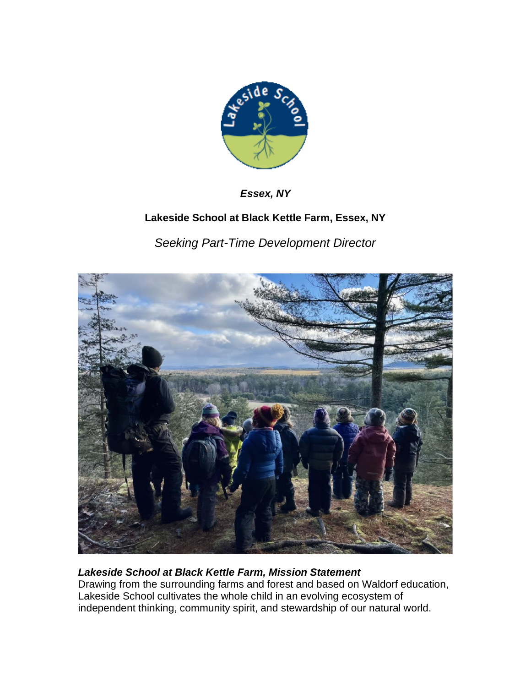

*Essex, NY*

# **Lakeside School at Black Kettle Farm, Essex, NY**

*Seeking Part-Time Development Director*



## *Lakeside School at Black Kettle Farm, Mission Statement*

Drawing from the surrounding farms and forest and based on Waldorf education, Lakeside School cultivates the whole child in an evolving ecosystem of independent thinking, community spirit, and stewardship of our natural world.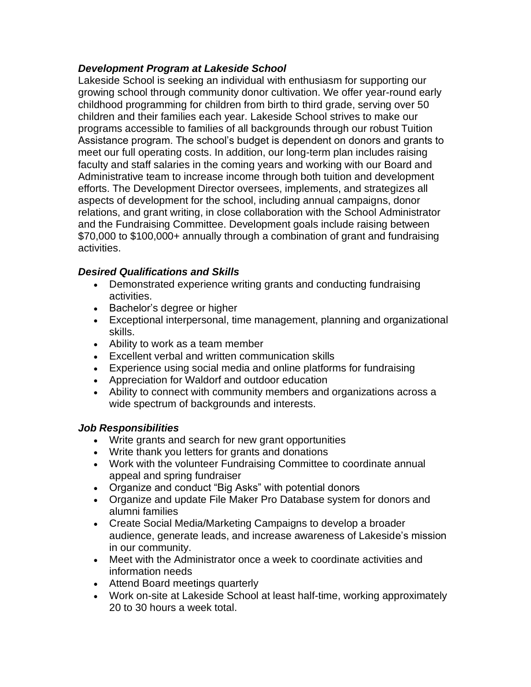### *Development Program at Lakeside School*

Lakeside School is seeking an individual with enthusiasm for supporting our growing school through community donor cultivation. We offer year-round early childhood programming for children from birth to third grade, serving over 50 children and their families each year. Lakeside School strives to make our programs accessible to families of all backgrounds through our robust Tuition Assistance program. The school's budget is dependent on donors and grants to meet our full operating costs. In addition, our long-term plan includes raising faculty and staff salaries in the coming years and working with our Board and Administrative team to increase income through both tuition and development efforts. The Development Director oversees, implements, and strategizes all aspects of development for the school, including annual campaigns, donor relations, and grant writing, in close collaboration with the School Administrator and the Fundraising Committee. Development goals include raising between \$70,000 to \$100,000+ annually through a combination of grant and fundraising activities.

#### *Desired Qualifications and Skills*

- Demonstrated experience writing grants and conducting fundraising activities.
- Bachelor's degree or higher
- Exceptional interpersonal, time management, planning and organizational skills.
- Ability to work as a team member
- Excellent verbal and written communication skills
- Experience using social media and online platforms for fundraising
- Appreciation for Waldorf and outdoor education
- Ability to connect with community members and organizations across a wide spectrum of backgrounds and interests.

#### *Job Responsibilities*

- Write grants and search for new grant opportunities
- Write thank you letters for grants and donations
- Work with the volunteer Fundraising Committee to coordinate annual appeal and spring fundraiser
- Organize and conduct "Big Asks" with potential donors
- Organize and update File Maker Pro Database system for donors and alumni families
- Create Social Media/Marketing Campaigns to develop a broader audience, generate leads, and increase awareness of Lakeside's mission in our community.
- Meet with the Administrator once a week to coordinate activities and information needs
- Attend Board meetings quarterly
- Work on-site at Lakeside School at least half-time, working approximately 20 to 30 hours a week total.